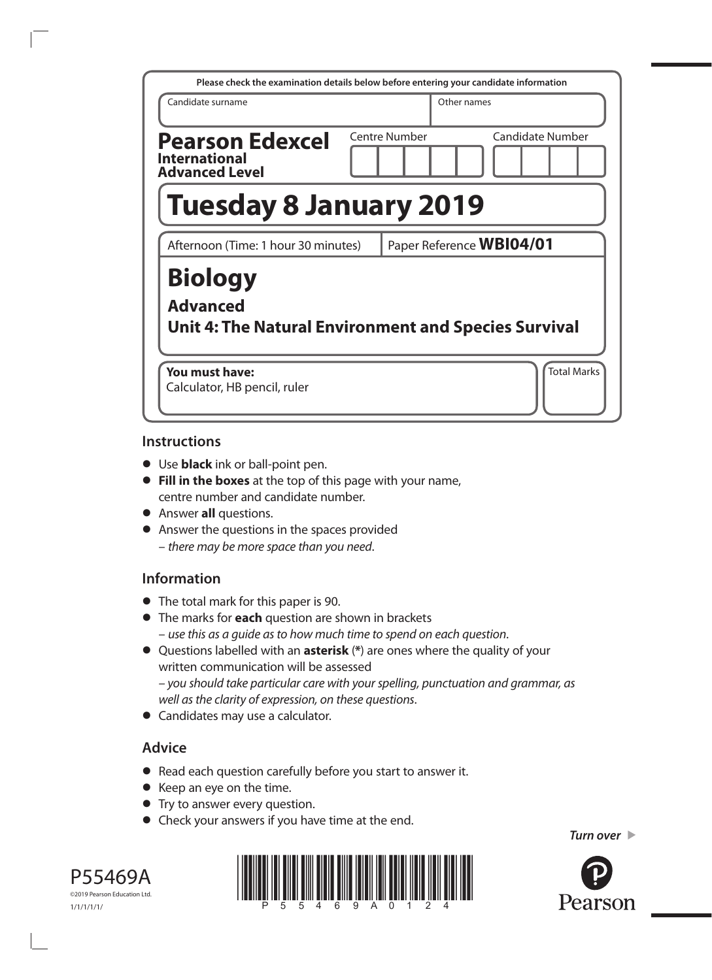|                                                                                                  | Please check the examination details below before entering your candidate information |
|--------------------------------------------------------------------------------------------------|---------------------------------------------------------------------------------------|
| Candidate surname                                                                                | Other names                                                                           |
| <b>Pearson Edexcel</b><br><b>International</b><br><b>Advanced Level</b>                          | <b>Candidate Number</b><br><b>Centre Number</b>                                       |
| <b>Tuesday 8 January 2019</b>                                                                    |                                                                                       |
| Afternoon (Time: 1 hour 30 minutes)                                                              | Paper Reference <b>WBI04/01</b>                                                       |
| <b>Biology</b><br><b>Advanced</b><br><b>Unit 4: The Natural Environment and Species Survival</b> |                                                                                       |
| You must have:<br>Calculator, HB pencil, ruler                                                   | <b>Total Marks</b>                                                                    |

### **Instructions**

- **•** Use **black** ink or ball-point pen.
- **• Fill in the boxes** at the top of this page with your name, centre number and candidate number.
- **•** Answer **all** questions.
- **•** Answer the questions in the spaces provided – *there may be more space than you need*.

## **Information**

- **•** The total mark for this paper is 90.
- **•** The marks for **each** question are shown in brackets – *use this as a guide as to how much time to spend on each question*.
- **•** Questions labelled with an **asterisk** (**\***) are ones where the quality of your written communication will be assessed *– you should take particular care with your spelling, punctuation and grammar, as well as the clarity of expression, on these questions*.
- **•** Candidates may use a calculator.

# **Advice**

- **•** Read each question carefully before you start to answer it.
- **•** Keep an eye on the time.
- **•** Try to answer every question.
- **•** Check your answers if you have time at the end.

*Turn over* 



©2019 Pearson Education Ltd. 1/1/1/1/1/

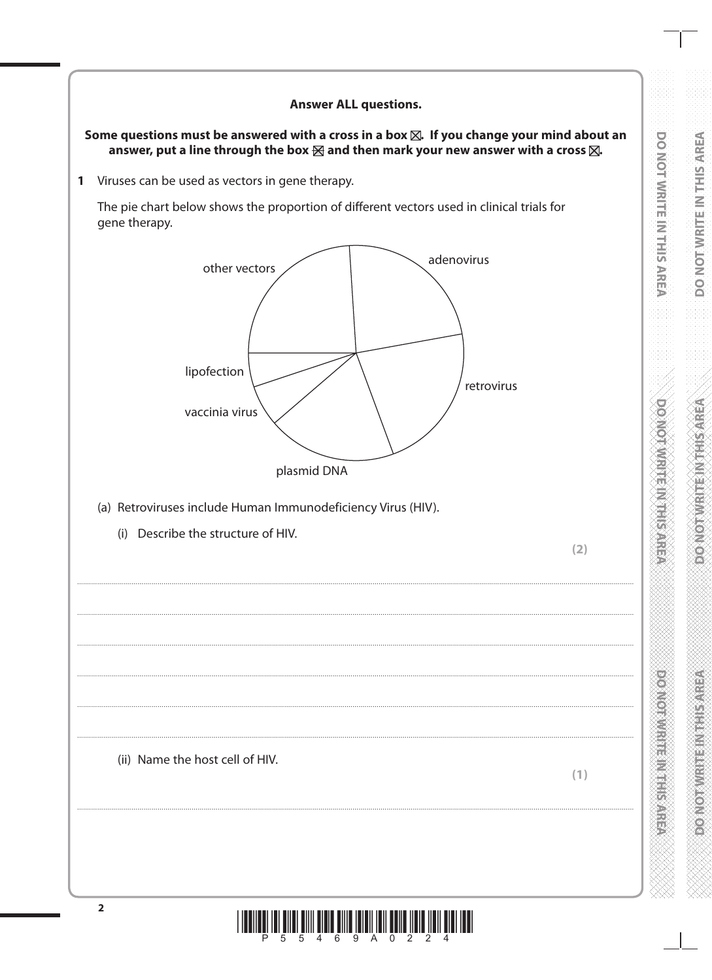### **Answer ALL questions.**

#### Some questions must be answered with a cross in a box  $\boxtimes$ . If you change your mind about an answer, put a line through the box  $\boxtimes$  and then mark your new answer with a cross  $\boxtimes$ .

1 Viruses can be used as vectors in gene therapy.

The pie chart below shows the proportion of different vectors used in clinical trials for gene therapy.



- (a) Retroviruses include Human Immunodeficiency Virus (HIV).
	- (i) Describe the structure of HIV.

(ii) Name the host cell of HIV.

 $(2)$ 

 $(1)$ 

**DO MOT WRITE IN THIS AREA** 

**DOMOTWRITE IN THIS AREA** 

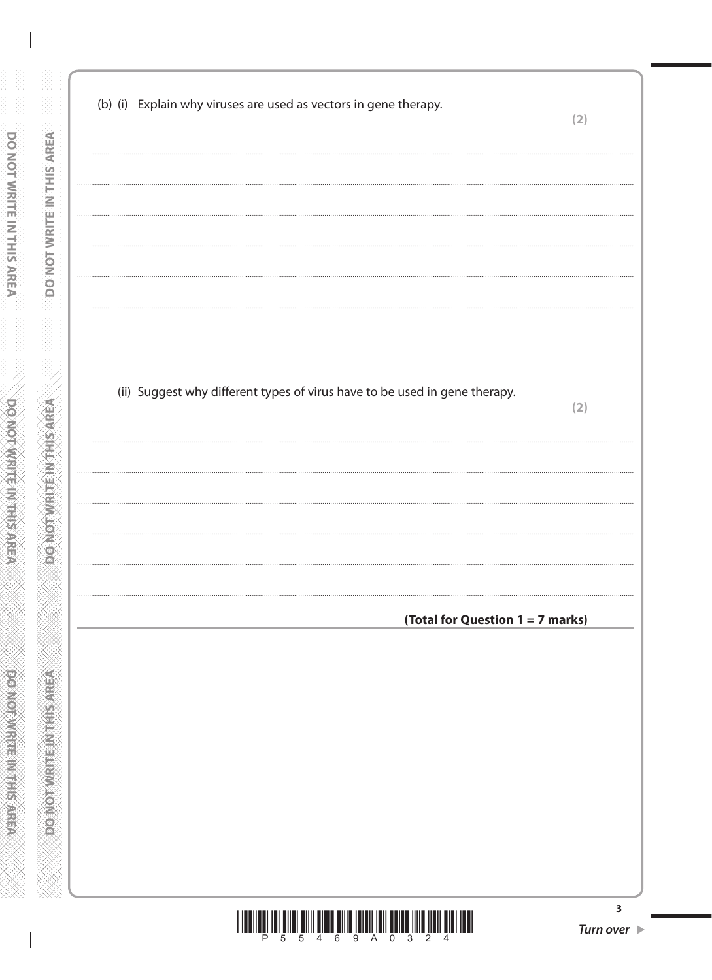|                                  | (b) (i) Explain why viruses are used as vectors in gene therapy.           | (2) |
|----------------------------------|----------------------------------------------------------------------------|-----|
|                                  |                                                                            |     |
|                                  |                                                                            |     |
|                                  |                                                                            |     |
|                                  |                                                                            |     |
|                                  |                                                                            |     |
|                                  |                                                                            |     |
|                                  |                                                                            |     |
|                                  |                                                                            |     |
|                                  |                                                                            |     |
|                                  | (ii) Suggest why different types of virus have to be used in gene therapy. | (2) |
|                                  |                                                                            |     |
|                                  |                                                                            |     |
|                                  |                                                                            |     |
|                                  |                                                                            |     |
|                                  |                                                                            |     |
|                                  |                                                                            |     |
|                                  |                                                                            |     |
| (Total for Question 1 = 7 marks) |                                                                            |     |
|                                  |                                                                            |     |
|                                  |                                                                            |     |
|                                  |                                                                            |     |
|                                  |                                                                            |     |
|                                  |                                                                            |     |
|                                  |                                                                            |     |
|                                  |                                                                            |     |
|                                  |                                                                            |     |
|                                  |                                                                            |     |
|                                  |                                                                            |     |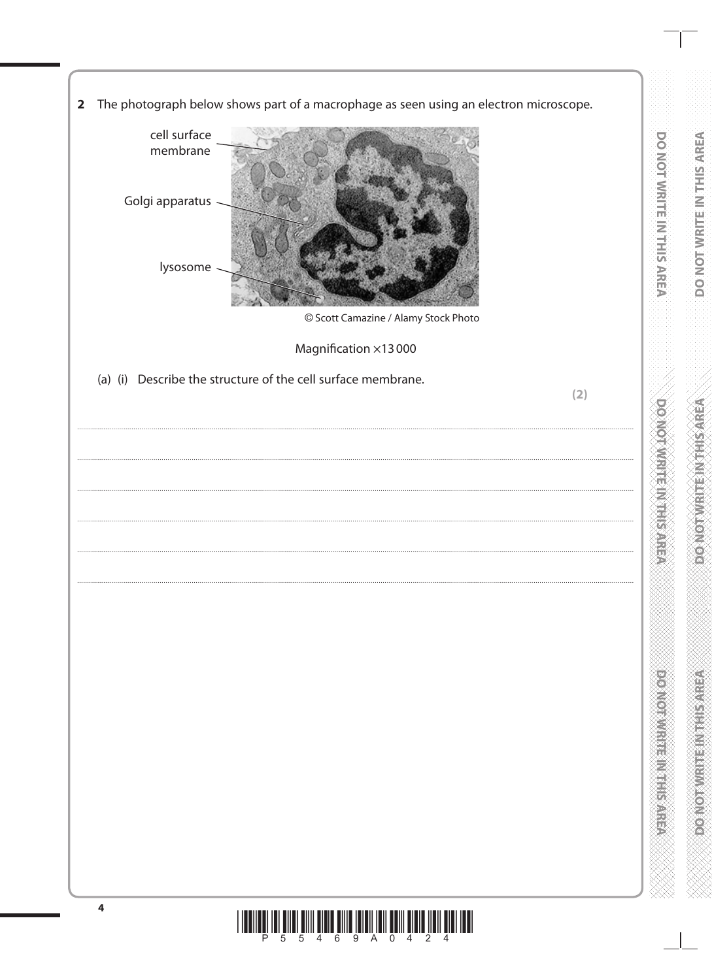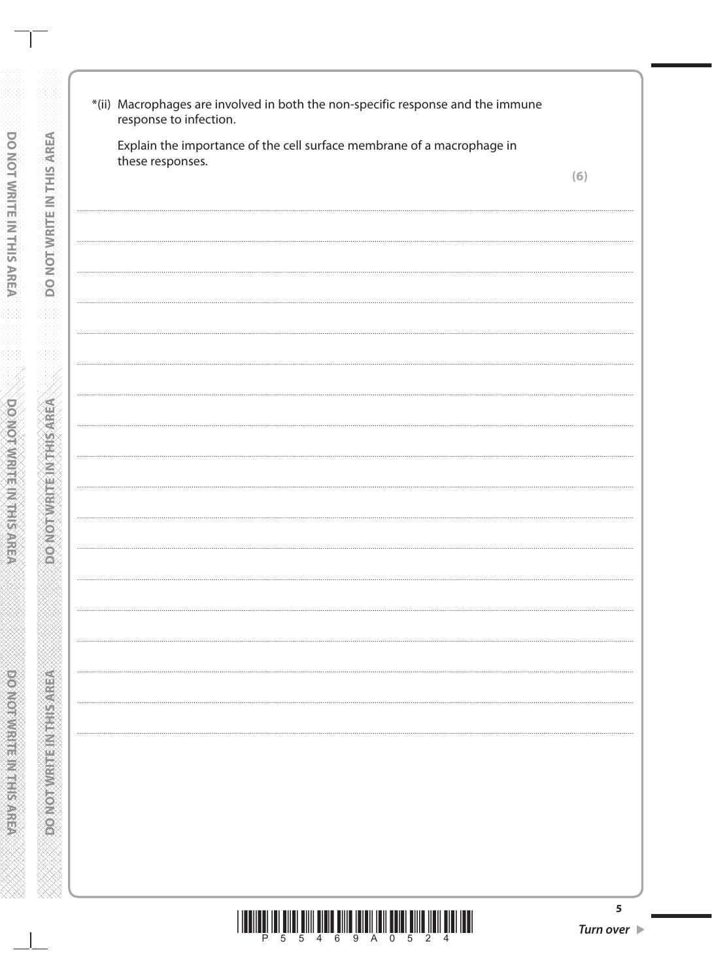| Explain the importance of the cell surface membrane of a macrophage in |     |
|------------------------------------------------------------------------|-----|
| these responses.                                                       | (6) |
|                                                                        |     |
|                                                                        |     |
|                                                                        |     |
|                                                                        |     |
|                                                                        |     |
|                                                                        |     |
|                                                                        |     |
|                                                                        |     |
|                                                                        |     |
|                                                                        |     |
|                                                                        |     |
|                                                                        |     |
|                                                                        |     |
|                                                                        |     |
|                                                                        |     |
|                                                                        |     |
|                                                                        |     |
|                                                                        |     |
|                                                                        |     |
|                                                                        |     |
|                                                                        |     |
|                                                                        |     |
|                                                                        |     |
|                                                                        |     |
|                                                                        |     |
|                                                                        |     |
|                                                                        |     |
|                                                                        |     |
|                                                                        |     |
|                                                                        |     |

DO NOT WRITE IN THIS AREA

**ADONOT WRITE IN THIS AREA** 

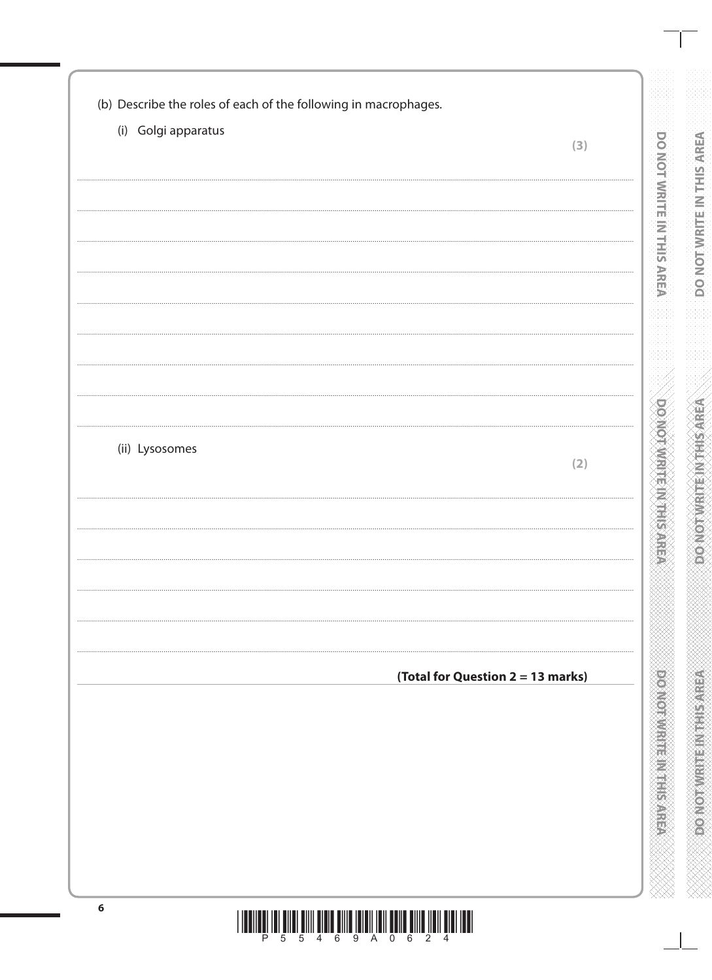| (i) Golgi apparatus |                                   |
|---------------------|-----------------------------------|
|                     | (3)                               |
|                     |                                   |
|                     |                                   |
|                     |                                   |
|                     |                                   |
|                     |                                   |
|                     |                                   |
|                     |                                   |
|                     |                                   |
|                     |                                   |
|                     |                                   |
| (ii) Lysosomes      | (2)                               |
|                     |                                   |
|                     |                                   |
|                     |                                   |
|                     |                                   |
|                     |                                   |
|                     |                                   |
|                     |                                   |
|                     | (Total for Question 2 = 13 marks) |
|                     |                                   |
|                     |                                   |
|                     |                                   |
|                     |                                   |
|                     |                                   |
|                     |                                   |
|                     |                                   |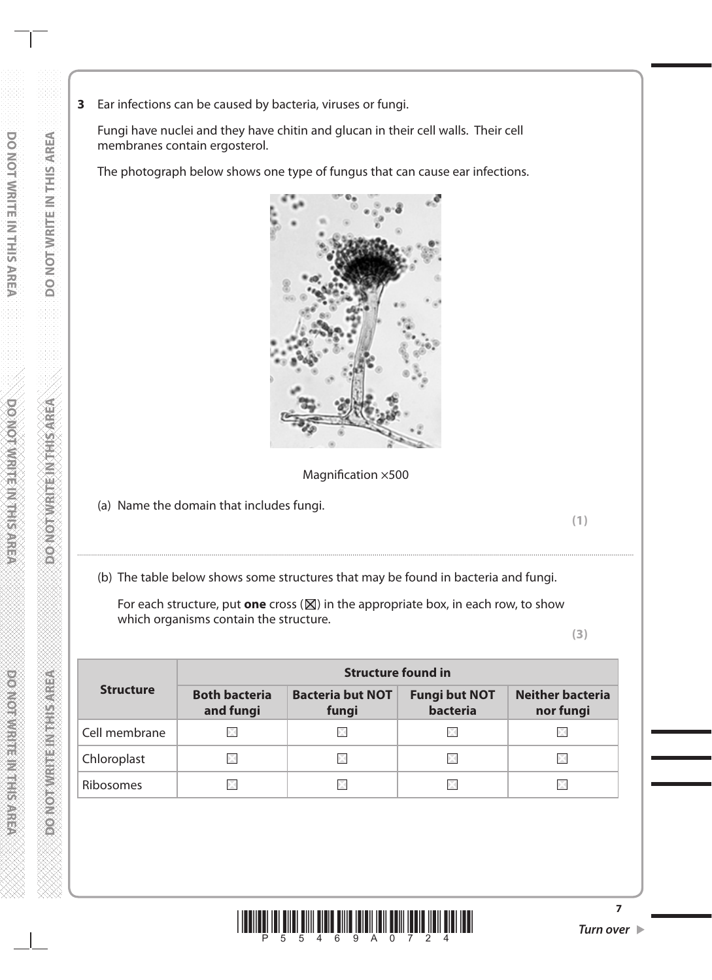**3** Ear infections can be caused by bacteria, viruses or fungi.

Fungi have nuclei and they have chitin and glucan in their cell walls. Their cell membranes contain ergosterol.

The photograph below shows one type of fungus that can cause ear infections.



Magnification ×500

.....................................................................................................................................................................................................................................................................................

(a) Name the domain that includes fungi.

**(1)**

(b) The table below shows some structures that may be found in bacteria and fungi.

For each structure, put **one** cross ( $\boxtimes$ ) in the appropriate box, in each row, to show which organisms contain the structure.

**(3)**

|                  | <b>Structure found in</b>         |                                  |                                         |                                      |  |
|------------------|-----------------------------------|----------------------------------|-----------------------------------------|--------------------------------------|--|
| <b>Structure</b> | <b>Both bacteria</b><br>and fungi | <b>Bacteria but NOT</b><br>fungi | <b>Fungi but NOT</b><br><b>bacteria</b> | <b>Neither bacteria</b><br>nor fungi |  |
| Cell membrane    |                                   |                                  |                                         |                                      |  |
| Chloroplast      |                                   |                                  |                                         |                                      |  |
| <b>Ribosomes</b> |                                   |                                  |                                         |                                      |  |



**PORTOR METHODS**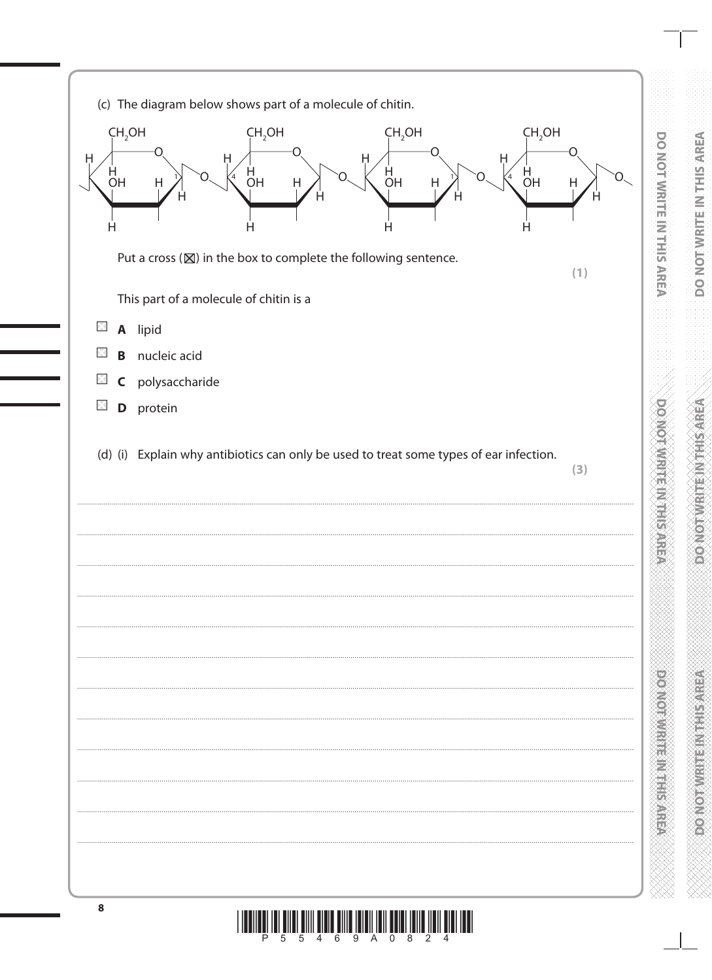| (c) The diagram below shows part of a molecule of chitin.                              |                                         |
|----------------------------------------------------------------------------------------|-----------------------------------------|
| CH <sub>2</sub> OH<br>CH <sub>2</sub> OH<br>CH <sub>2</sub> OH<br>CH <sub>2</sub> OH   |                                         |
| H<br>H<br>H<br>H<br>H<br>H<br>OH<br>H<br>OH<br>H<br>QH<br>OH<br>H<br>H<br>H<br>H<br>Н  | <b>DO NOT WRITE IN THIS AREA</b>        |
| н<br>Η<br>н<br>H                                                                       |                                         |
| Put a cross $(\mathbb{X})$ in the box to complete the following sentence.<br>(1)       |                                         |
| This part of a molecule of chitin is a                                                 |                                         |
| $\times$<br>$\boldsymbol{\mathsf{A}}$<br>lipid                                         |                                         |
| nucleic acid<br>$\mathbf B$                                                            |                                         |
| $\times$<br>polysaccharide<br>$\mathsf{C}$                                             |                                         |
| D<br>protein                                                                           |                                         |
| (d) (i) Explain why antibiotics can only be used to treat some types of ear infection. | <b>PONOT/WRITE/MY/HIS/ARE</b>           |
| (3)                                                                                    |                                         |
|                                                                                        |                                         |
|                                                                                        |                                         |
|                                                                                        |                                         |
|                                                                                        |                                         |
|                                                                                        |                                         |
|                                                                                        |                                         |
|                                                                                        |                                         |
|                                                                                        |                                         |
|                                                                                        |                                         |
|                                                                                        |                                         |
|                                                                                        | <b>PERSONAL PROPERTY AND INCOMPTANT</b> |
|                                                                                        |                                         |
|                                                                                        |                                         |
|                                                                                        |                                         |

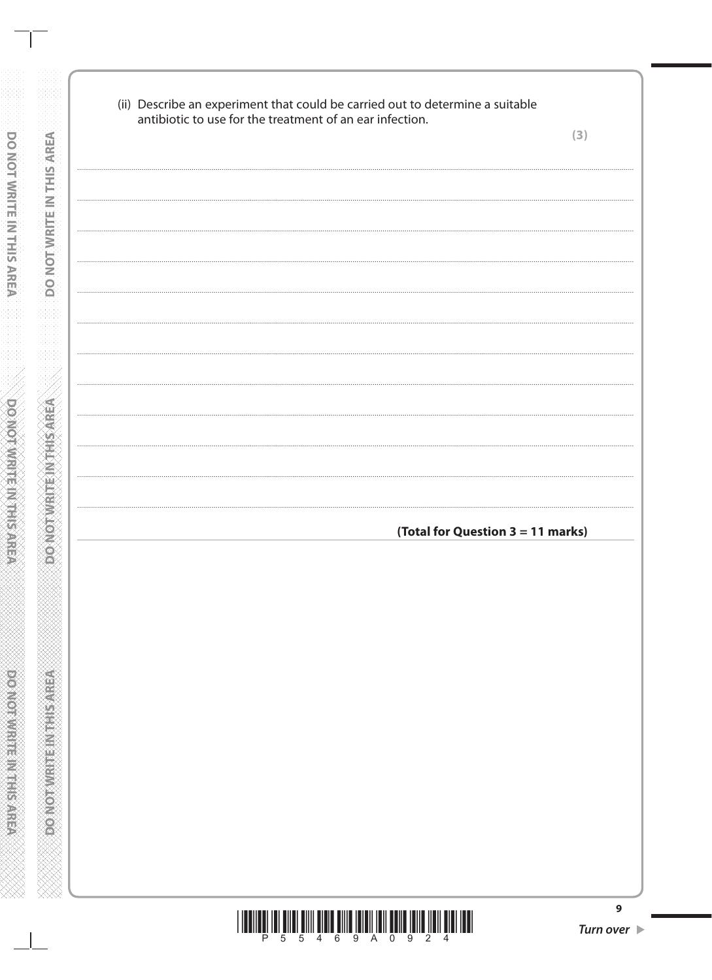(ii) Describe an experiment that could be carried out to determine a suitable antibiotic to use for the treatment of an ear infection.  $(3)$ (Total for Question 3 = 11 marks) **DO NOT WRITE INTERSAREA**  $\overline{9}$ 

**DONOT WRITE IN THIS AREA**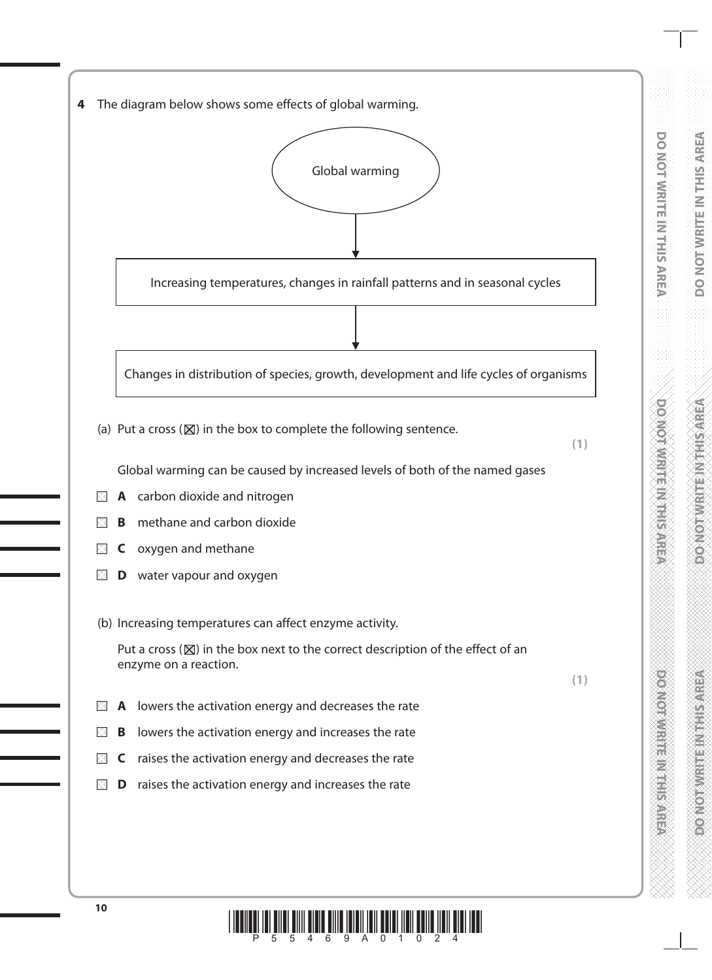**DONORMATE IN THE ISLAME** 

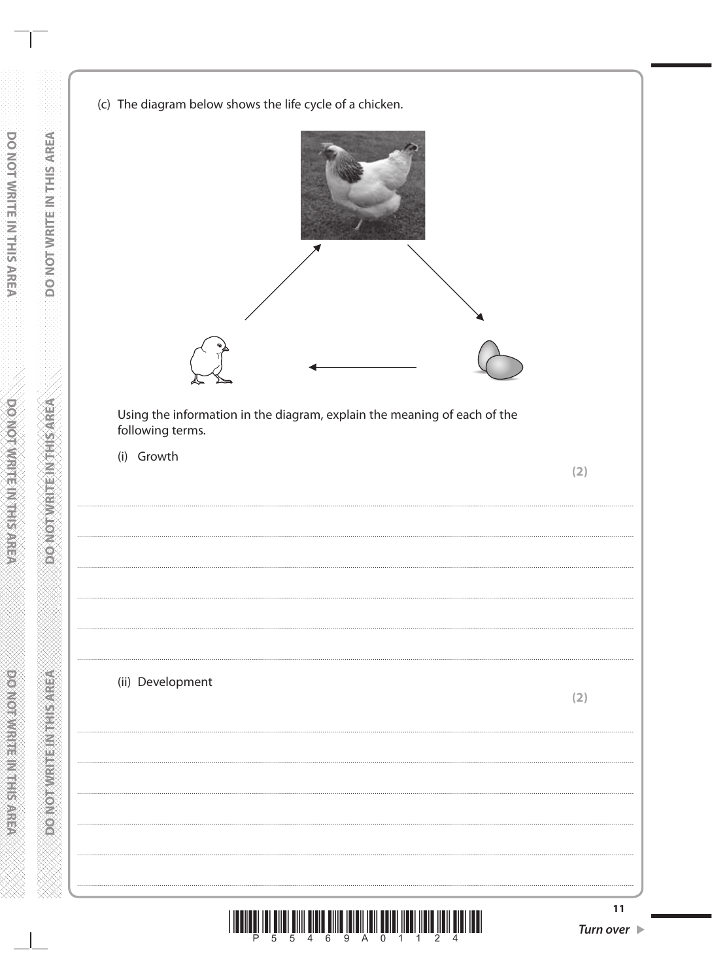| (c) The diagram below shows the life cycle of a chicken.                                     |           |
|----------------------------------------------------------------------------------------------|-----------|
|                                                                                              |           |
|                                                                                              |           |
|                                                                                              |           |
|                                                                                              |           |
| Using the information in the diagram, explain the meaning of each of the<br>following terms. |           |
| (i) Growth                                                                                   | (2)       |
|                                                                                              |           |
|                                                                                              |           |
|                                                                                              |           |
|                                                                                              |           |
|                                                                                              |           |
| (ii) Development                                                                             |           |
|                                                                                              | (2)       |
|                                                                                              |           |
|                                                                                              |           |
|                                                                                              |           |
|                                                                                              |           |
|                                                                                              | 11        |
|                                                                                              | Turn over |

**DONOTWRITEIN THIS AREA** 

**DONOTWRTEINTHISAREA**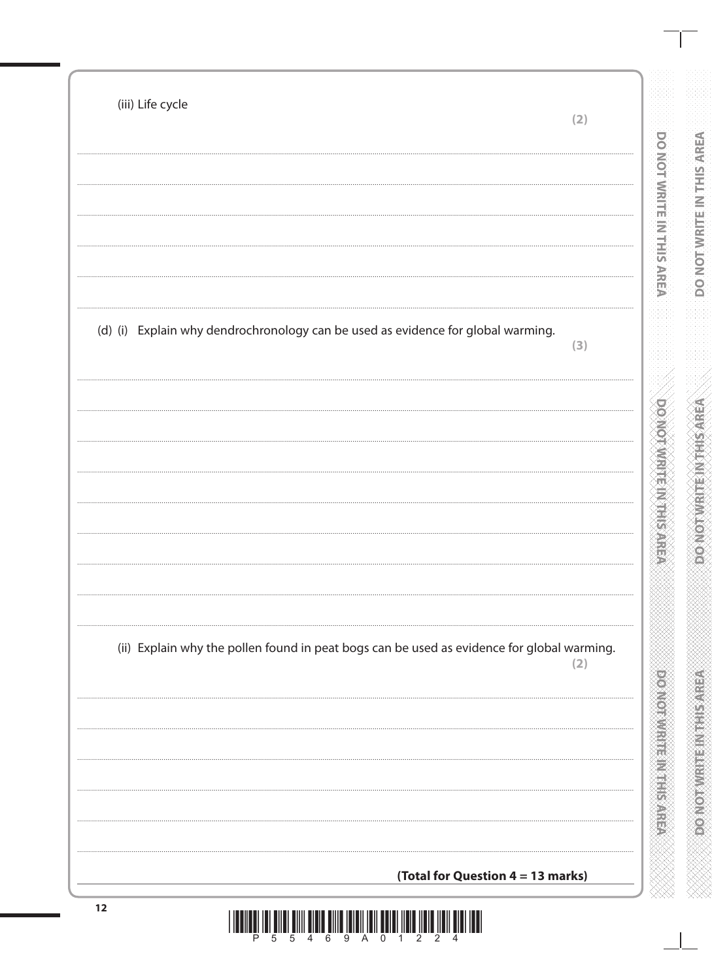|                                                                                            | (2) |
|--------------------------------------------------------------------------------------------|-----|
|                                                                                            |     |
|                                                                                            |     |
|                                                                                            |     |
|                                                                                            |     |
| (d) (i) Explain why dendrochronology can be used as evidence for global warming.           | (3) |
|                                                                                            |     |
|                                                                                            |     |
|                                                                                            |     |
|                                                                                            |     |
|                                                                                            |     |
|                                                                                            |     |
|                                                                                            |     |
| (ii) Explain why the pollen found in peat bogs can be used as evidence for global warming. | (2) |
|                                                                                            |     |
|                                                                                            |     |
|                                                                                            |     |
|                                                                                            |     |
|                                                                                            |     |

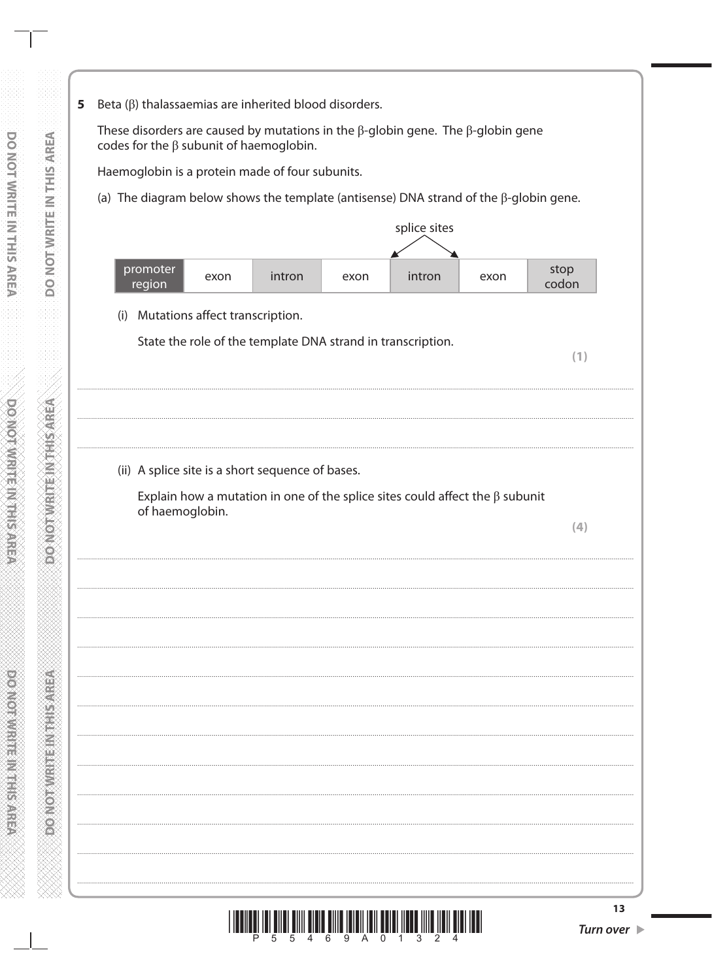**5** Beta  $(\beta)$  thalassaemias are inherited blood disorders.

These disorders are caused by mutations in the  $\beta$ -globin gene. The  $\beta$ -globin gene codes for the  $\beta$  subunit of haemoglobin.

Haemoglobin is a protein made of four subunits.

(a) The diagram below shows the template (antisense) DNA strand of the  $\beta$ -globin gene.

splice sites stop promoter exon intron intron exon exon codon region (i) Mutations affect transcription. State the role of the template DNA strand in transcription.  $(1)$ (ii) A splice site is a short sequence of bases. Explain how a mutation in one of the splice sites could affect the  $\beta$  subunit of haemoglobin.  $(4)$ 

<u>III I BIN BINI DIN SINDI MIN SINDI ILI BINI III </u>

5 4 6 9 A 0 1 3

**DONOT WRITEIN THIS AREA** 

Turn over  $\blacktriangleright$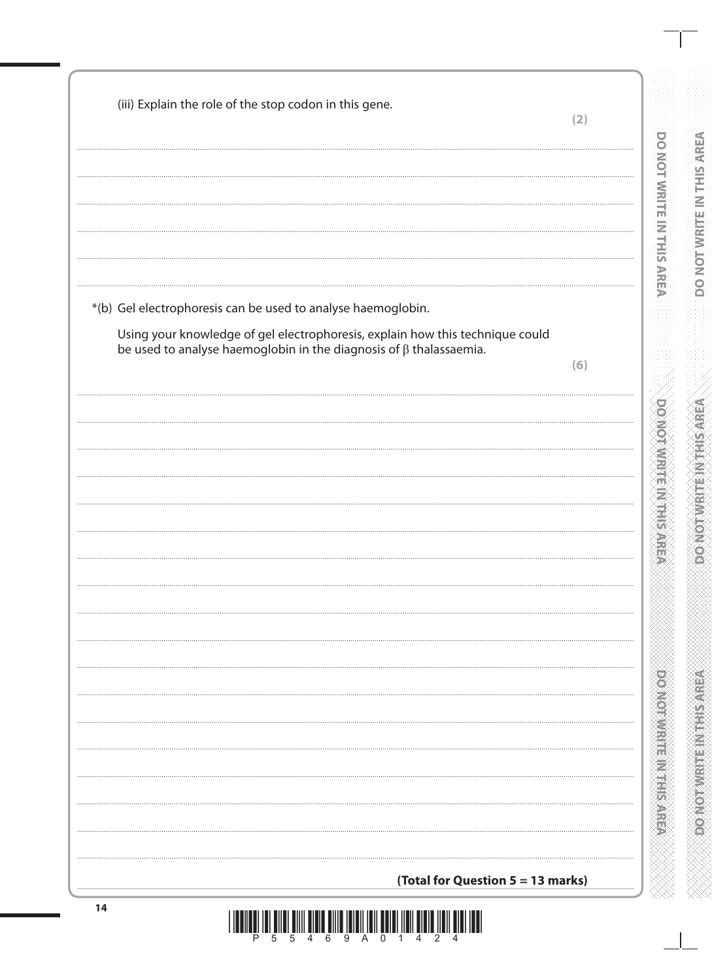| (iii) Explain the role of the stop codon in this gene.                                                                                                    | (2) |
|-----------------------------------------------------------------------------------------------------------------------------------------------------------|-----|
|                                                                                                                                                           |     |
|                                                                                                                                                           |     |
|                                                                                                                                                           |     |
|                                                                                                                                                           |     |
|                                                                                                                                                           |     |
| *(b) Gel electrophoresis can be used to analyse haemoglobin.                                                                                              |     |
| Using your knowledge of gel electrophoresis, explain how this technique could<br>be used to analyse haemoglobin in the diagnosis of $\beta$ thalassaemia. |     |
|                                                                                                                                                           | (6) |
|                                                                                                                                                           |     |
|                                                                                                                                                           |     |
|                                                                                                                                                           |     |
|                                                                                                                                                           |     |
|                                                                                                                                                           |     |
|                                                                                                                                                           |     |
|                                                                                                                                                           |     |
|                                                                                                                                                           |     |
|                                                                                                                                                           |     |
|                                                                                                                                                           |     |
|                                                                                                                                                           |     |
|                                                                                                                                                           |     |
|                                                                                                                                                           |     |
|                                                                                                                                                           |     |
|                                                                                                                                                           |     |
| (Total for Question 5 = 13 marks)                                                                                                                         |     |
| 14<br>⋓                                                                                                                                                   |     |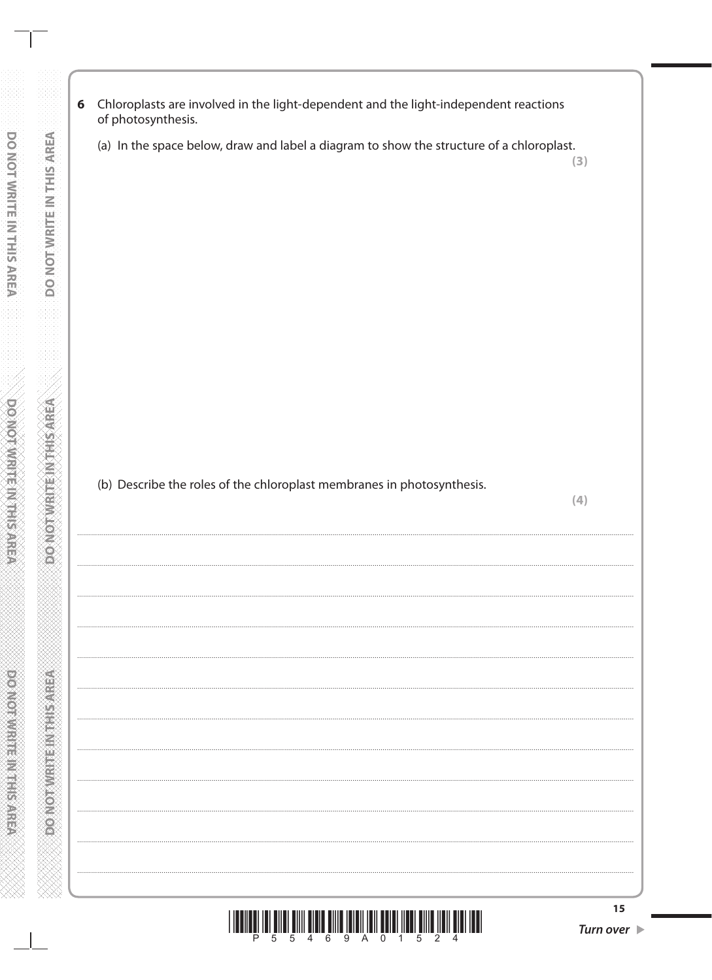| P<br>5<br>5<br>$\overline{4}$<br>6<br>9 A 0<br>5<br>$\overline{4}$<br>$\mathbf{2}$<br>1. | Turn o |
|------------------------------------------------------------------------------------------|--------|
|                                                                                          |        |
|                                                                                          |        |
|                                                                                          |        |
|                                                                                          |        |
|                                                                                          |        |
|                                                                                          |        |
|                                                                                          |        |
|                                                                                          |        |
|                                                                                          |        |
|                                                                                          |        |
|                                                                                          |        |
|                                                                                          | (4)    |
| (b) Describe the roles of the chloroplast membranes in photosynthesis.                   |        |
|                                                                                          |        |
|                                                                                          |        |
|                                                                                          |        |
|                                                                                          |        |
|                                                                                          |        |
|                                                                                          |        |
|                                                                                          |        |
|                                                                                          | (3)    |

**DONOT WRITEIN THIS AREA** 

**PONOTWERE NTRINGROE** 

(a) In the space below, draw and label a diagram to show the structure of a chloroplast.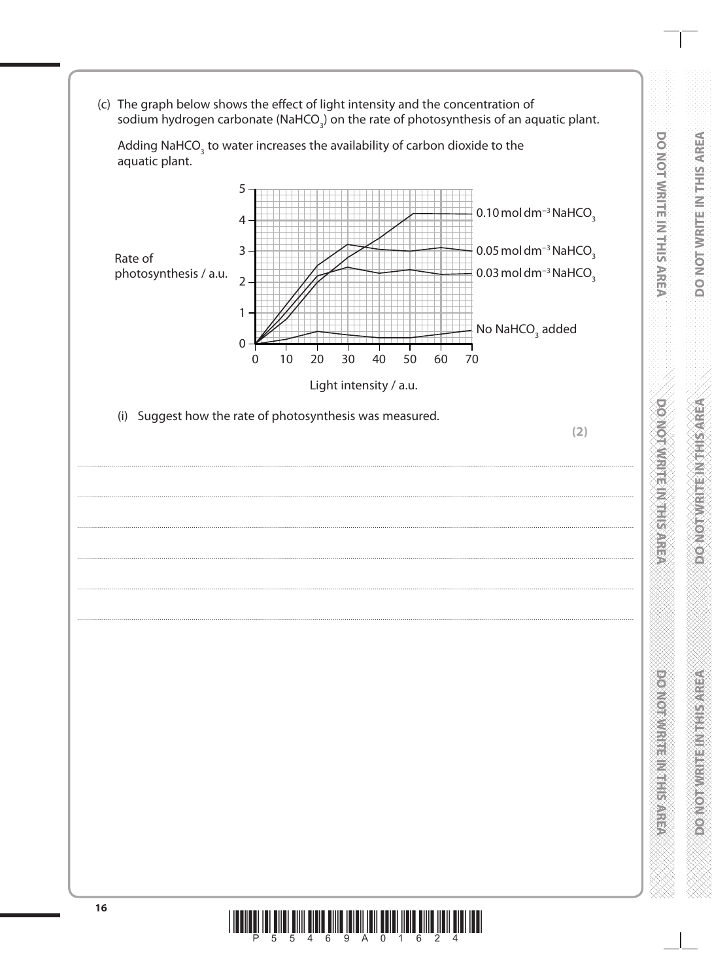(c) The graph below shows the effect of light intensity and the concentration of sodium hydrogen carbonate (NaHCO<sub>2</sub>) on the rate of photosynthesis of an aquatic plant. DO MOT WRITE IN THIS AREA Adding NaHCO<sub>3</sub> to water increases the availability of carbon dioxide to the aquatic plant. 5 0.10 moldm<sup>-3</sup> NaHCO<sub>3</sub>  $\overline{4}$  $0.05$  moldm<sup>-3</sup> NaHCO<sub>3</sub>  $\overline{3}$ Rate of 0.03 moldm<sup>-3</sup> NaHCO<sub>3</sub> photosynthesis / a.u.  $\overline{2}$  $1<sup>1</sup>$ No NaHCO<sub>3</sub> added  $\overline{0}$ 20 30 40 50 60 70  $\overline{0}$ 10 Light intensity / a.u. **DO NOTWRITE IN THIS AREA** (i) Suggest how the rate of photosynthesis was measured.  $(2)$ **DOMOROTHE MEETING** 

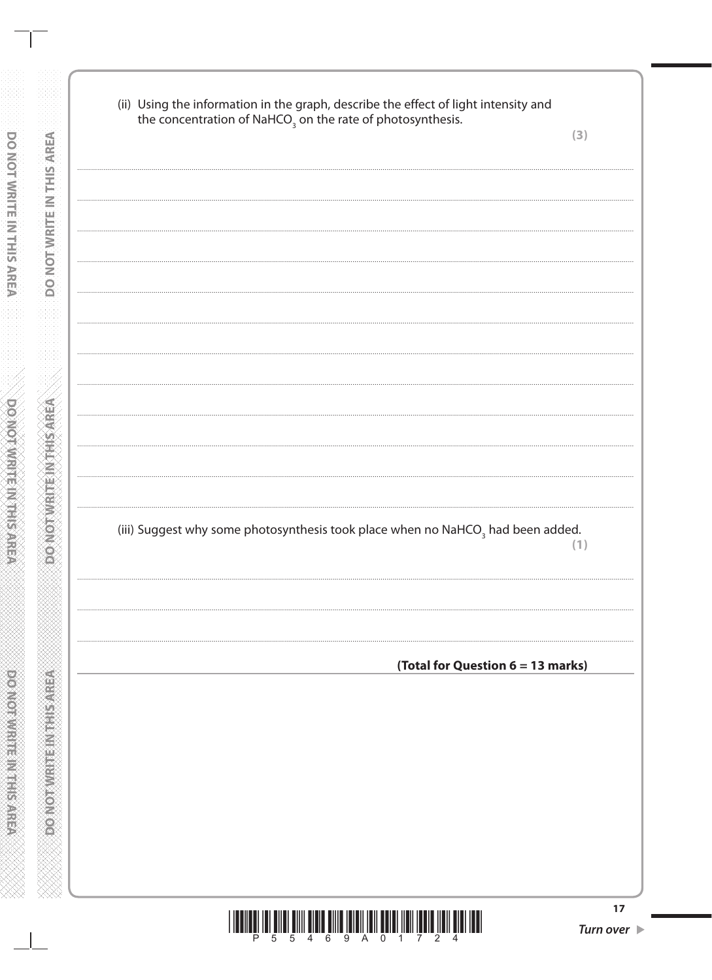(ii) Using the information in the graph, describe the effect of light intensity and the concentration of NaHCO<sub>2</sub> on the rate of photosynthesis.  $(3)$ (iii) Suggest why some photosynthesis took place when no NaHCO<sub>3</sub> had been added.  $(1)$ (Total for Question 6 = 13 marks)  $17$ 

**DONOT WRITE IN THIS AREA** 

**PONOT WRITEIN THIS AREA** 

<u> II BIN BINI BINI BINI NINI NIN BINI NINI NBIN N</u>  $5\ 5\ 4\ 6\ 9\ A\ 0\ 1\ 7\ 2\ 4$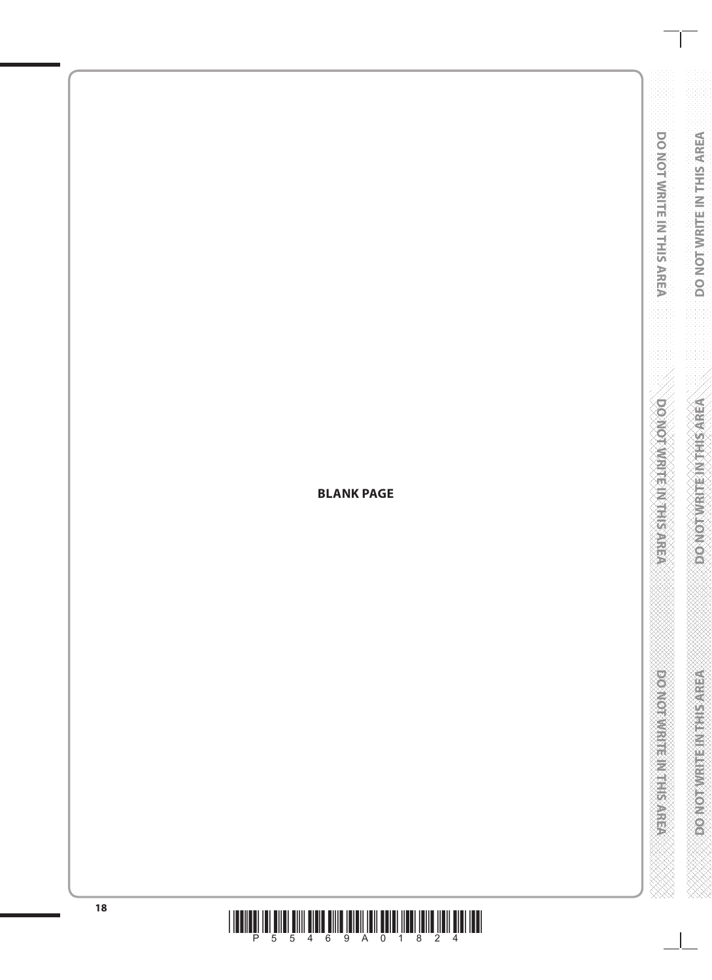88888

**DOMOTIVIRITE IN THIS AREA DO NOT WRITE IN THE INTERNATIONAL CONTRACTOR** 

**DO NOT WRITE IN THE INTERNATION** 

DO NOT WRITE IN THIS AREA



**BLANK PAGE**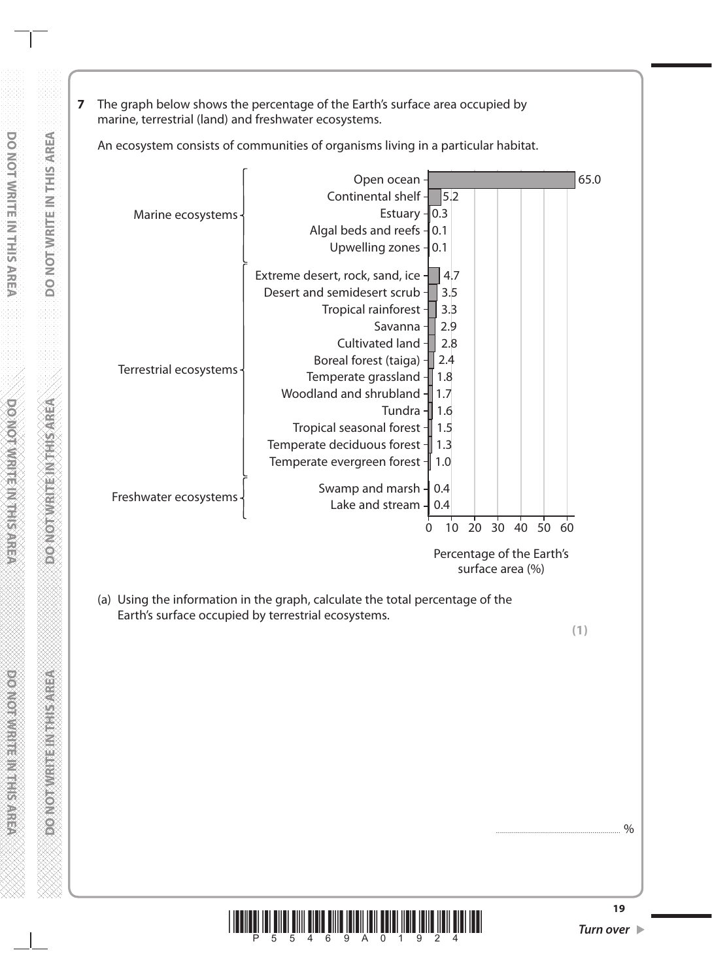**7** The graph below shows the percentage of the Earth's surface area occupied by marine, terrestrial (land) and freshwater ecosystems.

An ecosystem consists of communities of organisms living in a particular habitat.



- surface area (%)
- (a) Using the information in the graph, calculate the total percentage of the Earth's surface occupied by terrestrial ecosystems.

**(1)**

.............................................................. %



**MEDIAN PROTECTIONS**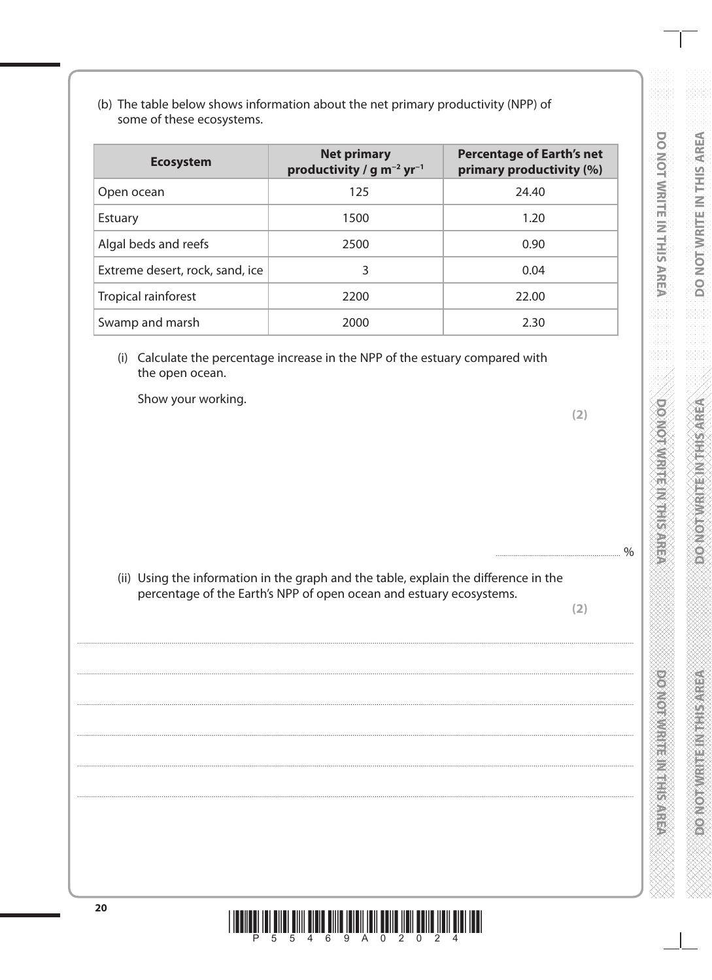(b) The table below shows information about the net primary productivity (NPP) of some of these ecosystems.

| <b>Ecosystem</b>                | <b>Net primary</b><br>productivity / $g m^{-2} yr^{-1}$ | <b>Percentage of Earth's net</b><br>primary productivity (%) |
|---------------------------------|---------------------------------------------------------|--------------------------------------------------------------|
| Open ocean                      | 125                                                     | 24.40                                                        |
| Estuary                         | 1500                                                    | 1.20                                                         |
| Algal beds and reefs            | 2500                                                    | 0.90                                                         |
| Extreme desert, rock, sand, ice | 3                                                       | 0.04                                                         |
| Tropical rainforest             | 2200                                                    | 22.00                                                        |
| Swamp and marsh                 | 2000                                                    | 2.30                                                         |

(i) Calculate the percentage increase in the NPP of the estuary compared with the open ocean.

Show your working.

 $(2)$ 

(ii) Using the information in the graph and the table, explain the difference in the percentage of the Earth's NPP of open ocean and estuary ecosystems.

**DO NOT WRITE IN THIS AREA** 

**DOMOTWRITE IN THIS AREA** 

 $\frac{0}{0}$ 

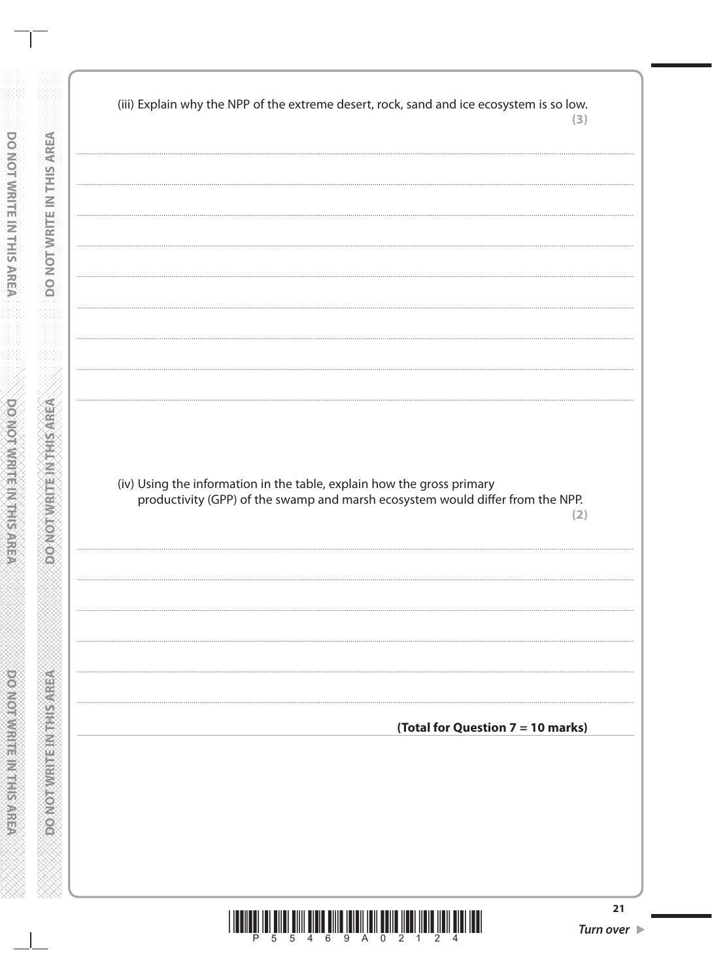(iii) Explain why the NPP of the extreme desert, rock, sand and ice ecosystem is so low.  $(3)$ **DO NOT WRITE IN THIS AREA DONOT WRITEIN THIS AREA** (iv) Using the information in the table, explain how the gross primary productivity (GPP) of the swamp and marsh ecosystem would differ from the NPP.  $(2)$ **PONOT WRITE INGERER** (Total for Question 7 = 10 marks)  $21$ 

<u>TI TIITI TIIN ANTA TIIN NINNI ITII AANA NATU NINN NIN</u>

 $5\ 5\ 4\ 6\ 9\ A\ 0\ 2\ 1\ 2\ 4$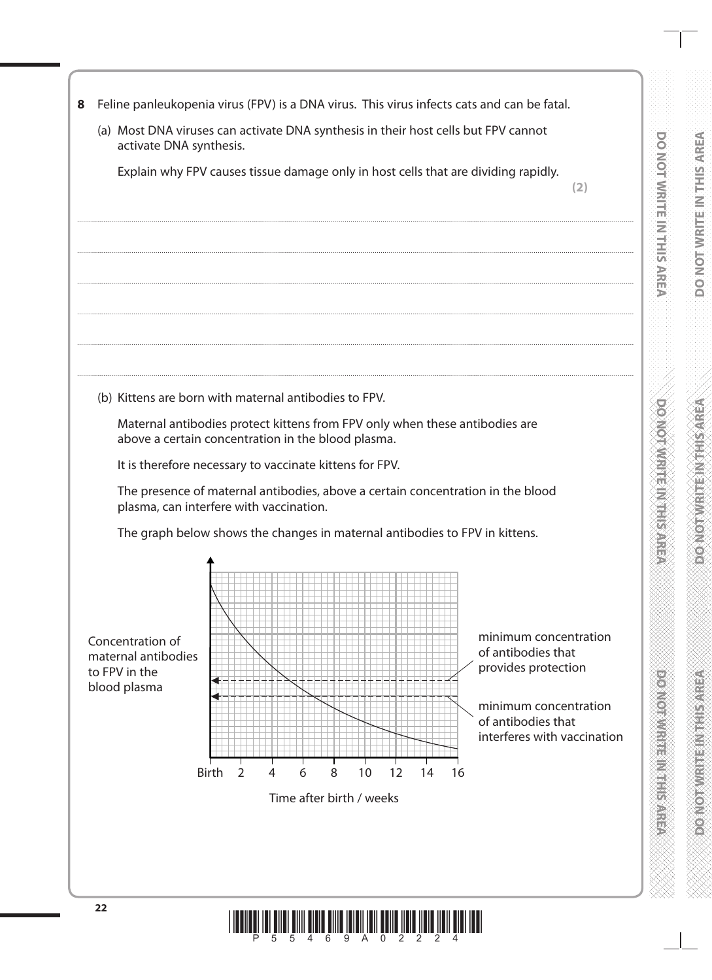| 8 | Feline panleukopenia virus (FPV) is a DNA virus. This virus infects cats and can be fatal.                                                     |                                         |
|---|------------------------------------------------------------------------------------------------------------------------------------------------|-----------------------------------------|
|   | (a) Most DNA viruses can activate DNA synthesis in their host cells but FPV cannot<br>activate DNA synthesis.                                  | D<br>O                                  |
|   | Explain why FPV causes tissue damage only in host cells that are dividing rapidly.<br>(2)                                                      | NOT METHELM                             |
|   |                                                                                                                                                | AREA                                    |
|   | (b) Kittens are born with maternal antibodies to FPV.                                                                                          |                                         |
|   | Maternal antibodies protect kittens from FPV only when these antibodies are<br>above a certain concentration in the blood plasma.              | <b>OMOTAWEINERS</b>                     |
|   | It is therefore necessary to vaccinate kittens for FPV.                                                                                        |                                         |
|   | The presence of maternal antibodies, above a certain concentration in the blood<br>plasma, can interfere with vaccination.                     |                                         |
|   | The graph below shows the changes in maternal antibodies to FPV in kittens.                                                                    |                                         |
|   |                                                                                                                                                |                                         |
|   | minimum concentration<br>Concentration of<br>of antibodies that<br>maternal antibodies<br>provides protection<br>to FPV in the<br>blood plasma |                                         |
|   | minimum concentration<br>of antibodies that<br>interferes with vaccination                                                                     | <b>POSTORES IN STREET AND RESIDENCE</b> |
|   | <b>Birth</b><br>2<br>8<br>10<br>12<br>14<br>4<br>6<br>16                                                                                       |                                         |
|   | Time after birth / weeks                                                                                                                       |                                         |
|   |                                                                                                                                                |                                         |
|   |                                                                                                                                                |                                         |
|   |                                                                                                                                                |                                         |

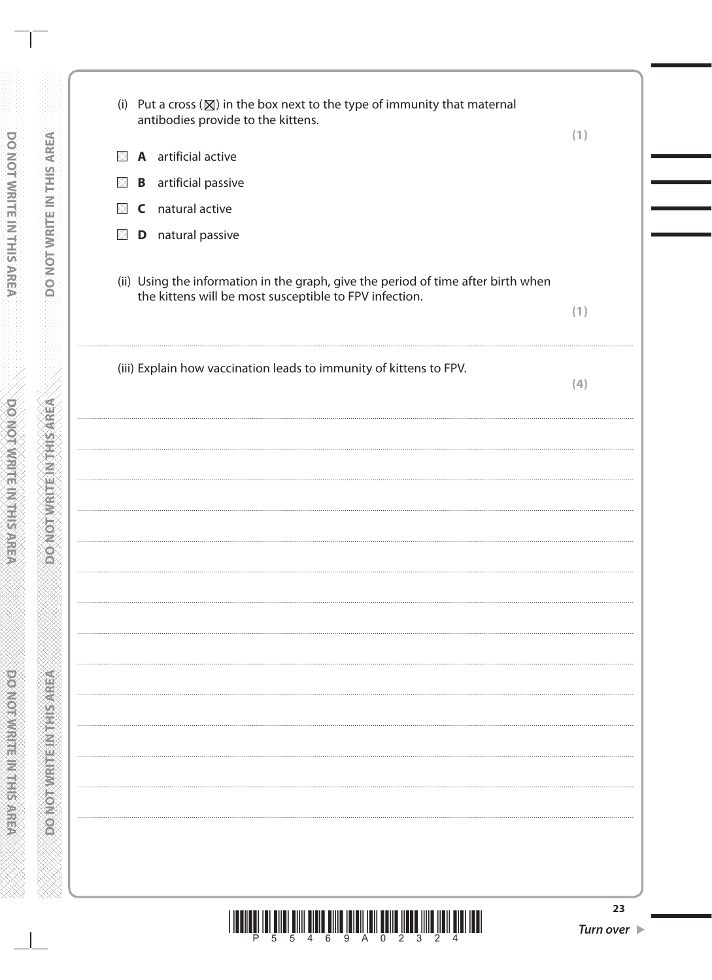| $\boxtimes$<br>$\times$ | (i) Put a cross $(\mathbb{X})$ in the box next to the type of immunity that maternal<br>antibodies provide to the kittens.<br>$\blacksquare$ <b>A</b> artificial active<br><b>B</b> artificial passive<br><b>C</b> natural active<br><b>D</b> natural passive | (1) |
|-------------------------|---------------------------------------------------------------------------------------------------------------------------------------------------------------------------------------------------------------------------------------------------------------|-----|
|                         | (ii) Using the information in the graph, give the period of time after birth when<br>the kittens will be most susceptible to FPV infection.                                                                                                                   | (1) |
|                         | (iii) Explain how vaccination leads to immunity of kittens to FPV.                                                                                                                                                                                            | (4) |
|                         |                                                                                                                                                                                                                                                               |     |
|                         |                                                                                                                                                                                                                                                               |     |
|                         |                                                                                                                                                                                                                                                               |     |
|                         |                                                                                                                                                                                                                                                               |     |
|                         |                                                                                                                                                                                                                                                               |     |
|                         |                                                                                                                                                                                                                                                               |     |
|                         |                                                                                                                                                                                                                                                               |     |

**DONOTWRITE IN THIS AREA** 

**PONOTWERT INTERNET**